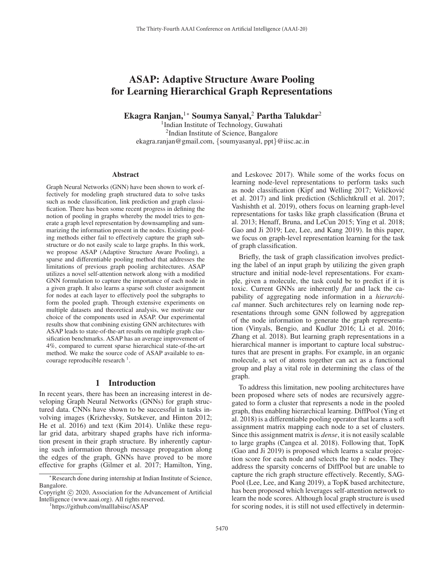# ASAP: Adaptive Structure Aware Pooling for Learning Hierarchical Graph Representations

Ekagra Ranjan,<sup>1</sup>\* Soumya Sanyal,<sup>2</sup> Partha Talukdar<sup>2</sup>

1Indian Institute of Technology, Guwahati 2Indian Institute of Science, Bangalore ekagra.ranjan@gmail.com, {soumyasanyal, ppt}@iisc.ac.in

#### Abstract

Graph Neural Networks (GNN) have been shown to work effectively for modeling graph structured data to solve tasks such as node classification, link prediction and graph classification. There has been some recent progress in defining the notion of pooling in graphs whereby the model tries to generate a graph level representation by downsampling and summarizing the information present in the nodes. Existing pooling methods either fail to effectively capture the graph substructure or do not easily scale to large graphs. In this work, we propose ASAP (Adaptive Structure Aware Pooling), a sparse and differentiable pooling method that addresses the limitations of previous graph pooling architectures. ASAP utilizes a novel self-attention network along with a modified GNN formulation to capture the importance of each node in a given graph. It also learns a sparse soft cluster assignment for nodes at each layer to effectively pool the subgraphs to form the pooled graph. Through extensive experiments on multiple datasets and theoretical analysis, we motivate our choice of the components used in ASAP. Our experimental results show that combining existing GNN architectures with ASAP leads to state-of-the-art results on multiple graph classification benchmarks. ASAP has an average improvement of 4%, compared to current sparse hierarchical state-of-the-art method. We make the source code of ASAP available to encourage reproducible research  $<sup>1</sup>$ .</sup>

## 1 Introduction

In recent years, there has been an increasing interest in developing Graph Neural Networks (GNNs) for graph structured data. CNNs have shown to be successful in tasks involving images (Krizhevsky, Sutskever, and Hinton 2012; He et al. 2016) and text (Kim 2014). Unlike these regular grid data, arbitrary shaped graphs have rich information present in their graph structure. By inherently capturing such information through message propagation along the edges of the graph, GNNs have proved to be more effective for graphs (Gilmer et al. 2017; Hamilton, Ying,

and Leskovec 2017). While some of the works focus on learning node-level representations to perform tasks such as node classification (Kipf and Welling 2017; Veličković et al. 2017) and link prediction (Schlichtkrull et al. 2017; Vashishth et al. 2019), others focus on learning graph-level representations for tasks like graph classification (Bruna et al. 2013; Henaff, Bruna, and LeCun 2015; Ying et al. 2018; Gao and Ji 2019; Lee, Lee, and Kang 2019). In this paper, we focus on graph-level representation learning for the task of graph classification.

Briefly, the task of graph classification involves predicting the label of an input graph by utilizing the given graph structure and initial node-level representations. For example, given a molecule, the task could be to predict if it is toxic. Current GNNs are inherently *flat* and lack the capability of aggregating node information in a *hierarchical* manner. Such architectures rely on learning node representations through some GNN followed by aggregation of the node information to generate the graph representation (Vinyals, Bengio, and Kudlur 2016; Li et al. 2016; Zhang et al. 2018). But learning graph representations in a hierarchical manner is important to capture local substructures that are present in graphs. For example, in an organic molecule, a set of atoms together can act as a functional group and play a vital role in determining the class of the graph.

To address this limitation, new pooling architectures have been proposed where sets of nodes are recursively aggregated to form a cluster that represents a node in the pooled graph, thus enabling hierarchical learning. DiffPool (Ying et al. 2018) is a differentiable pooling operator that learns a soft assignment matrix mapping each node to a set of clusters. Since this assignment matrix is *dense*, it is not easily scalable to large graphs (Cangea et al. 2018). Following that, TopK (Gao and Ji 2019) is proposed which learns a scalar projection score for each node and selects the top  $k$  nodes. They address the sparsity concerns of DiffPool but are unable to capture the rich graph structure effectively. Recently, SAG-Pool (Lee, Lee, and Kang 2019), a TopK based architecture, has been proposed which leverages self-attention network to learn the node scores. Although local graph structure is used for scoring nodes, it is still not used effectively in determin-

<sup>∗</sup>Research done during internship at Indian Institute of Science, Bangalore.

Copyright  $\odot$  2020, Association for the Advancement of Artificial Intelligence (www.aaai.org). All rights reserved.

https://github.com/malllabiisc/ASAP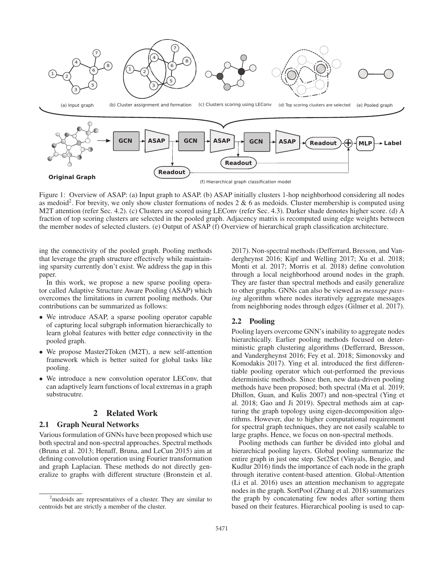

Figure 1: Overview of ASAP: (a) Input graph to ASAP. (b) ASAP initially clusters 1-hop neighborhood considering all nodes as medoid<sup>2</sup>. For brevity, we only show cluster formations of nodes  $2 \& 6$  as medoids. Cluster membership is computed using M2T attention (refer Sec. 4.2). (c) Clusters are scored using LEConv (refer Sec. 4.3). Darker shade denotes higher score. (d) A fraction of top scoring clusters are selected in the pooled graph. Adjacency matrix is recomputed using edge weights between the member nodes of selected clusters. (e) Output of ASAP (f) Overview of hierarchical graph classification architecture.

ing the connectivity of the pooled graph. Pooling methods that leverage the graph structure effectively while maintaining sparsity currently don't exist. We address the gap in this paper.

In this work, we propose a new sparse pooling operator called Adaptive Structure Aware Pooling (ASAP) which overcomes the limitations in current pooling methods. Our contributions can be summarized as follows:

- We introduce ASAP, a sparse pooling operator capable of capturing local subgraph information hierarchically to learn global features with better edge connectivity in the pooled graph.
- We propose Master2Token (M2T), a new self-attention framework which is better suited for global tasks like pooling.
- We introduce a new convolution operator LEConv, that can adaptively learn functions of local extremas in a graph substrucutre.

# 2 Related Work

#### 2.1 Graph Neural Networks

Various formulation of GNNs have been proposed which use both spectral and non-spectral approaches. Spectral methods (Bruna et al. 2013; Henaff, Bruna, and LeCun 2015) aim at defining convolution operation using Fourier transformation and graph Laplacian. These methods do not directly generalize to graphs with different structure (Bronstein et al.

2017). Non-spectral methods (Defferrard, Bresson, and Vandergheynst 2016; Kipf and Welling 2017; Xu et al. 2018; Monti et al. 2017; Morris et al. 2018) define convolution through a local neighborhood around nodes in the graph. They are faster than spectral methods and easily generalize to other graphs. GNNs can also be viewed as *message passing* algorithm where nodes iteratively aggregate messages from neighboring nodes through edges (Gilmer et al. 2017).

# 2.2 Pooling

Pooling layers overcome GNN's inability to aggregate nodes hierarchically. Earlier pooling methods focused on deterministic graph clustering algorithms (Defferrard, Bresson, and Vandergheynst 2016; Fey et al. 2018; Simonovsky and Komodakis 2017). Ying et al. introduced the first differentiable pooling operator which out-performed the previous deterministic methods. Since then, new data-driven pooling methods have been proposed; both spectral (Ma et al. 2019; Dhillon, Guan, and Kulis 2007) and non-spectral (Ying et al. 2018; Gao and Ji 2019). Spectral methods aim at capturing the graph topology using eigen-decomposition algorithms. However, due to higher computational requirement for spectral graph techniques, they are not easily scalable to large graphs. Hence, we focus on non-spectral methods.

Pooling methods can further be divided into global and hierarchical pooling layers. Global pooling summarize the entire graph in just one step. Set2Set (Vinyals, Bengio, and Kudlur 2016) finds the importance of each node in the graph through iterative content-based attention. Global-Attention (Li et al. 2016) uses an attention mechanism to aggregate nodes in the graph. SortPool (Zhang et al. 2018) summarizes the graph by concatenating few nodes after sorting them based on their features. Hierarchical pooling is used to cap-

<sup>&</sup>lt;sup>2</sup> medoids are representatives of a cluster. They are similar to centroids but are strictly a member of the cluster.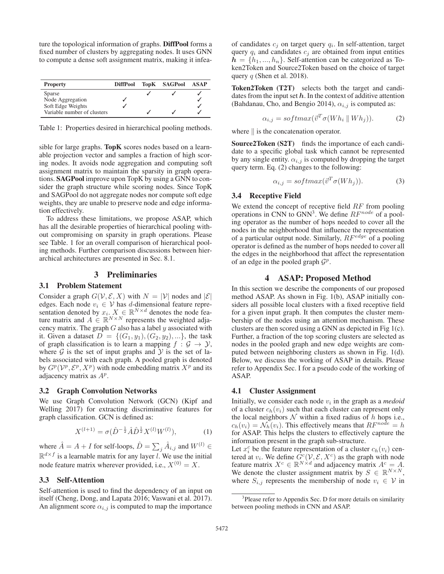ture the topological information of graphs. DiffPool forms a fixed number of clusters by aggregating nodes. It uses GNN to compute a dense soft assignment matrix, making it infea-

| <b>Property</b>             |  | DiffPool TopK SAGPool ASAP |  |
|-----------------------------|--|----------------------------|--|
| <b>Sparse</b>               |  |                            |  |
| Node Aggregation            |  |                            |  |
| Soft Edge Weights           |  |                            |  |
| Variable number of clusters |  |                            |  |

Table 1: Properties desired in hierarchical pooling methods.

sible for large graphs. TopK scores nodes based on a learnable projection vector and samples a fraction of high scoring nodes. It avoids node aggregation and computing soft assignment matrix to maintain the sparsity in graph operations. SAGPool improve upon TopK by using a GNN to consider the graph structure while scoring nodes. Since TopK and SAGPool do not aggregate nodes nor compute soft edge weights, they are unable to preserve node and edge information effectively.

To address these limitations, we propose ASAP, which has all the desirable properties of hierarchical pooling without compromising on sparsity in graph operations. Please see Table. 1 for an overall comparison of hierarchical pooling methods. Further comparison discussions between hierarchical architectures are presented in Sec. 8.1.

# 3 Preliminaries

## 3.1 Problem Statement

Consider a graph  $G(V, \mathcal{E}, X)$  with  $N = |V|$  nodes and  $|\mathcal{E}|$ edges. Each node  $v_i \in V$  has d-dimensional feature representation denoted by  $x_i$ .  $X \in \mathbb{R}^{N \times d}$  denotes the node feature matrix and  $A \in \mathbb{R}^{N \times N}$  represents the weighted adjacency matrix. The graph  $G$  also has a label  $y$  associated with it. Given a dataset  $D = \{(G_1, y_1), (G_2, y_2), ...\}$ , the task of graph classification is to learn a mapping  $f : \mathcal{G} \to \mathcal{Y}$ , where  $G$  is the set of input graphs and  $Y$  is the set of labels associated with each graph. A pooled graph is denoted by  $G^p(\mathcal{V}^p, \mathcal{E}^p, X^p)$  with node embedding matrix  $X^p$  and its adjacency matrix as  $A^p$ .

#### 3.2 Graph Convolution Networks

We use Graph Convolution Network (GCN) (Kipf and Welling 2017) for extracting discriminative features for graph classification. GCN is defined as:

$$
X^{(l+1)} = \sigma(\hat{D}^{-\frac{1}{2}}\hat{A}\hat{D}^{\frac{1}{2}}X^{(l)}W^{(l)}),\tag{1}
$$

where  $\hat{A} = A + I$  for self-loops,  $\hat{D} = \sum_{j} \hat{A}_{i,j}$  and  $W^{(l)} \in$  $\mathbb{R}^{d \times f}$  is a learnable matrix for any layer *l*. We use the initial node feature matrix wherever provided, i.e.,  $X^{(0)} = X$ .

## 3.3 Self-Attention

Self-attention is used to find the dependency of an input on itself (Cheng, Dong, and Lapata 2016; Vaswani et al. 2017). An alignment score  $\alpha_{i,j}$  is computed to map the importance

of candidates  $c_i$  on target query  $q_i$ . In self-attention, target query  $q_i$  and candidates  $c_j$  are obtained from input entities  $h = \{h_1, ..., h_n\}$ . Self-attention can be categorized as Token2Token and Source2Token based on the choice of target query  $q$  (Shen et al. 2018).

Token2Token (T2T) selects both the target and candidates from the input set *h*. In the context of additive attention (Bahdanau, Cho, and Bengio 2014),  $\alpha_{i,j}$  is computed as:

$$
\alpha_{i,j} = softmax(\vec{v}^T \sigma(Wh_i \parallel Wh_j)).
$$
 (2)

where  $\parallel$  is the concatenation operator.

Source2Token (S2T) finds the importance of each candidate to a specific global task which cannot be represented by any single entity.  $\alpha_{i,j}$  is computed by dropping the target query term. Eq. (2) changes to the following:

$$
\alpha_{i,j} = softmax(\vec{v}^T \sigma(Wh_j)). \tag{3}
$$

# 3.4 Receptive Field

We extend the concept of receptive field RF from pooling operations in CNN to GNN<sup>3</sup>. We define  $RF^{node}$  of a pooling operator as the number of hops needed to cover all the nodes in the neighborhood that influence the representation of a particular output node. Similarly,  $RF^{edge}$  of a pooling operator is defined as the number of hops needed to cover all the edges in the neighborhood that affect the representation of an edge in the pooled graph  $\mathcal{G}^p$ .

#### 4 ASAP: Proposed Method

In this section we describe the components of our proposed method ASAP. As shown in Fig. 1(b), ASAP initially considers all possible local clusters with a fixed receptive field for a given input graph. It then computes the cluster membership of the nodes using an attention mechanism. These clusters are then scored using a GNN as depicted in Fig 1(c). Further, a fraction of the top scoring clusters are selected as nodes in the pooled graph and new edge weights are computed between neighboring clusters as shown in Fig. 1(d). Below, we discuss the working of ASAP in details. Please refer to Appendix Sec. I for a pseudo code of the working of ASAP.

#### 4.1 Cluster Assignment

Initially, we consider each node  $v_i$  in the graph as a *medoid* of a cluster  $c_h(v_i)$  such that each cluster can represent only the local neighbors  $N$  within a fixed radius of h hops i.e.,  $c_h(v_i) = \mathcal{N}_h(v_i)$ . This effectively means that  $RF^{node} = h$ for ASAP. This helps the clusters to effectively capture the information present in the graph sub-structure.

Let  $x_i^c$  be the feature representation of a cluster  $c_h(v_i)$  centered at  $v_i$ . We define  $G^c(\mathcal{V}, \mathcal{E}, X^c)$  as the graph with node feature matrix  $X^c \in \mathbb{R}^{N \times d}$  and adjacency matrix  $A^c = A$ . We denote the cluster assignment matrix by  $S \in \mathbb{R}^{N \times N}$ , where  $S_{i,j}$  represents the membership of node  $v_i \in V$  in

<sup>&</sup>lt;sup>3</sup>Please refer to Appendix Sec. D for more details on similarity between pooling methods in CNN and ASAP.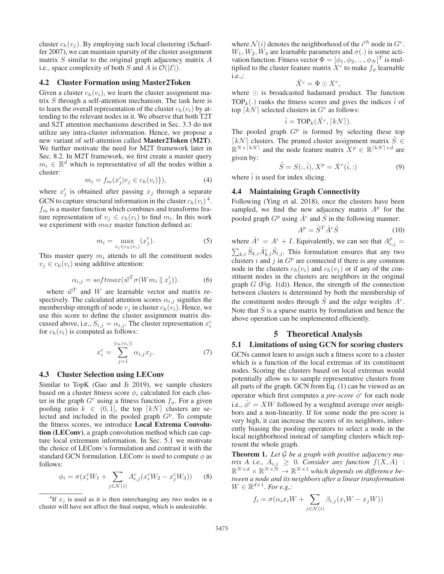cluster  $c_h(v_i)$ . By employing such local clustering (Schaeffer 2007), we can maintain sparsity of the cluster assignment matrix  $S$  similar to the original graph adjacency matrix  $A$ i.e., space complexity of both S and A is  $\mathcal{O}(|\mathcal{E}|)$ .

## 4.2 Cluster Formation using Master2Token

Given a cluster  $c_h(v_i)$ , we learn the cluster assignment matrix S through a self-attention mechanism. The task here is to learn the overall representation of the cluster  $c_h(v_i)$  by attending to the relevant nodes in it. We observe that both T2T and S2T attention mechanisms described in Sec. 3.3 do not utilize any intra-cluster information. Hence, we propose a new variant of self-attention called Master2Token (M2T). We further motivate the need for M2T framework later in Sec. 8.2. In M2T framework, we first create a master query  $m_i \in \mathbb{R}^d$  which is representative of all the nodes within a cluster:

$$
m_i = f_m(x'_j | v_j \in c_h(v_i) \}, \tag{4}
$$

where  $x'_j$  is obtained after passing  $x_j$  through a separate GCN to capture structural information in the cluster  $c_h(v_i)$ <sup>4</sup>.  $f_m$  is a master function which combines and transforms feature representation of  $v_i \in c_h(v_i)$  to find  $m_i$ . In this work we experiment with  $max$  master function defined as:

$$
m_i = \max_{v_j \in c_h(v_i)} (x'_j). \tag{5}
$$

This master query  $m_i$  attends to all the constituent nodes  $v_i \in c_h(v_i)$  using additive attention:

$$
\alpha_{i,j} = softmax(\vec{w}^T \sigma(Wm_i \parallel x'_j)). \tag{6}
$$

where  $\vec{w}^T$  and W are learnable vector and matrix respectively. The calculated attention scores  $\alpha_{i,j}$  signifies the membership strength of node  $v_i$  in cluster  $c_h(v_i)$ . Hence, we use this score to define the cluster assignment matrix discussed above, i.e.,  $S_{i,j} = \alpha_{i,j}$ . The cluster representation  $x_i^c$ for  $c_h(v_i)$  is computed as follows:

$$
x_i^c = \sum_{j=1}^{|c_h(v_i)|} \alpha_{i,j} x_j.
$$
 (7)

#### 4.3 Cluster Selection using LEConv

Similar to TopK (Gao and Ji 2019), we sample clusters based on a cluster fitness score  $\phi_i$  calculated for each cluster in the graph  $G<sup>c</sup>$  using a fitness function  $f_{\phi}$ . For a given pooling ratio  $k \in (0,1]$ , the top  $\lceil kN \rceil$  clusters are selected and included in the pooled graph  $G^p$ . To compute the fitness scores, we introduce Local Extrema Convolution (LEConv), a graph convolution method which can capture local extremum information. In Sec. 5.1 we motivate the choice of LEConv's formulation and contrast it with the standard GCN formulation. LEConv is used to compute  $\phi$  as follows:

$$
\phi_i = \sigma(x_i^c W_1 + \sum_{j \in \mathcal{N}(i)} A_{i,j}^c (x_i^c W_2 - x_j^c W_3))
$$
 (8)

where  $\mathcal{N}(i)$  denotes the neighborhood of the  $i^{th}$  node in  $G^c$ .  $W_1, W_2, W_3$  are learnable parameters and  $\sigma(.)$  is some activation function. Fitness vector  $\Phi = [\phi_1, \phi_2, ..., \phi_N]^T$  is multiplied to the cluster feature matrix  $X^c$  to make  $f_{\phi}$  learnable i.e.,:

$$
\hat{X^c} = \Phi \odot X^c,
$$

where  $\odot$  is broadcasted hadamard product. The function  $TOP_k(.)$  ranks the fitness scores and gives the indices  $\hat{i}$  of top  $\lceil kN \rceil$  selected clusters in  $G^c$  as follows:

$$
\hat{i} = \text{TOP}_k(\hat{X}^c, \lceil kN \rceil).
$$

The pooled graph  $G^p$  is formed by selecting these top [kN] clusters. The pruned cluster assignment matrix  $\hat{S}$  ∈  $\mathbb{R}^{N\times \lceil kN \rceil}$  and the node feature matrix  $X^p \in \mathbb{R}^{\lceil kN \rceil \times d}$  are given by:

$$
\hat{S} = S(:, \hat{i}), X^p = \hat{X}^c(\hat{i}, :)
$$
\n(9)

where  $\hat{i}$  is used for index slicing.

#### 4.4 Maintaining Graph Connectivity

Following (Ying et al. 2018), once the clusters have been sampled, we find the new adjacency matrix  $A<sup>p</sup>$  for the pooled graph  $G^p$  using  $\hat{A}^c$  and  $\hat{S}$  in the following manner:

$$
A^p = \hat{S}^T \hat{A}^c \hat{S} \tag{10}
$$

where  $\hat{A}^c = A^c + I$ . Equivalently, we can see that  $A^p_{i,j} =$  $\sum_{k,l} \hat{S}_{k,i} \hat{A}^c_{k,l} \hat{S}_{l,j}$ . This formulation ensures that any two clusters i and j in  $G<sup>p</sup>$  are connected if there is any common node in the clusters  $c_h(v_i)$  and  $c_h(v_i)$  or if any of the constituent nodes in the clusters are neighbors in the original graph  $G$  (Fig. 1(d)). Hence, the strength of the connection between clusters is determined by both the membership of the constituent nodes through  $\hat{S}$  and the edge weights  $A^c$ . Note that  $\hat{S}$  is a sparse matrix by formulation and hence the above operation can be implemented efficiently.

# 5 Theoretical Analysis

#### 5.1 Limitations of using GCN for scoring clusters

GCNs cannot learn to assign such a fitness score to a cluster which is a function of the local extremas of its constituent nodes. Scoring the clusters based on local extremas would potentially allow us to sample representative clusters from all parts of the graph. GCN from Eq. (1) can be viewed as an operator which first computes a *pre-score*  $\hat{\phi}'$  for each node i.e.,  $\hat{\phi}' = XW$  followed by a weighted average over neighbors and a non-linearity. If for some node the pre-score is very high, it can increase the scores of its neighbors, inherently biasing the pooling operators to select a node in the local neighborhood instead of sampling clusters which represent the whole graph.

Theorem 1. *Let* G *be a graph with positive adjacency matrix A i.e.,*  $A_{i,j} \geq 0$ *. Consider any function*  $f(X, A)$  :  $\mathbb{R}^{N \times d} \times \mathbb{R}^{N \times \tilde{N}} \to \mathbb{R}^{N \times 1}$  which depends on difference be*tween a node and its neighbors after a linear transformation*  $W \in \mathbb{R}^{d \times 1}$ *. For e.g,:* 

$$
f_i = \sigma(\alpha_i x_i W + \sum_{j \in \mathcal{N}(i)} \beta_{i,j} (x_i W - x_j W))
$$

<sup>&</sup>lt;sup>4</sup>If  $x_j$  is used as it is then interchanging any two nodes in a cluster will have not affect the final output, which is undesirable.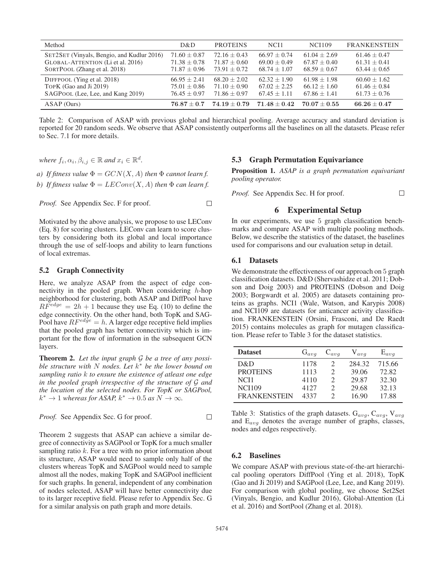| Method                                     | D&D              | <b>PROTEINS</b> | NC <sub>I1</sub> | <b>NCI109</b>  | <b>FRANKENSTEIN</b> |
|--------------------------------------------|------------------|-----------------|------------------|----------------|---------------------|
| SET2SET (Vinyals, Bengio, and Kudlur 2016) | $71.60 + 0.87$   | $72.16 + 0.43$  | $66.97 + 0.74$   | $61.04 + 2.69$ | $61.46 + 0.47$      |
| GLOBAL-ATTENTION (Li et al. 2016)          | $71.38 + 0.78$   | $71.87 + 0.60$  | $69.00 + 0.49$   | $67.87 + 0.40$ | $61.31 + 0.41$      |
| SORTPOOL (Zhang et al. 2018)               | $71.87 + 0.96$   | $73.91 + 0.72$  | $68.74 + 1.07$   | $68.59 + 0.67$ | $63.44 + 0.65$      |
| DIFFPOOL (Ying et al. 2018)                | $66.95 + 2.41$   | $68.20 + 2.02$  | $62.32 + 1.90$   | $61.98 + 1.98$ | $60.60 + 1.62$      |
| TOPK (Gao and Ji 2019)                     | $75.01 \pm 0.86$ | $71.10 + 0.90$  | $67.02 + 2.25$   | $66.12 + 1.60$ | $61.46 + 0.84$      |
| SAGPOOL (Lee, Lee, and Kang 2019)          | $76.45 + 0.97$   | $71.86 + 0.97$  | $67.45 + 1.11$   | $67.86 + 1.41$ | $61.73 + 0.76$      |
| $ASAP$ (Ours)                              | $76.87 + 0.7$    | $74.19 + 0.79$  | $71.48 + 0.42$   | $70.07 + 0.55$ | $66.26 + 0.47$      |

Table 2: Comparison of ASAP with previous global and hierarchical pooling. Average accuracy and standard deviation is reported for 20 random seeds. We observe that ASAP consistently outperforms all the baselines on all the datasets. Please refer to Sec. 7.1 for more details.

 $\Box$ 

*where*  $f_i, \alpha_i, \beta_i, j \in \mathbb{R}$  *and*  $x_i \in \mathbb{R}^d$ .

*a)* If fitness value  $\Phi = GCN(X, A)$  then  $\Phi$  cannot learn f. *b)* If fitness value  $\Phi = LEConv(X, A)$  then  $\Phi$  can learn f.

*Proof.* See Appendix Sec. F for proof.

Motivated by the above analysis, we propose to use LEConv (Eq. 8) for scoring clusters. LEConv can learn to score clusters by considering both its global and local importance through the use of self-loops and ability to learn functions of local extremas.

# 5.2 Graph Connectivity

Here, we analyze ASAP from the aspect of edge connectivity in the pooled graph. When considering h-hop neighborhood for clustering, both ASAP and DiffPool have  $RF^{edge} = 2h + 1$  because they use Eq. (10) to define the edge connectivity. On the other hand, both TopK and SAG-Pool have  $RF^{edge} = h$ . A larger edge receptive field implies that the pooled graph has better connectivity which is important for the flow of information in the subsequent GCN layers.

Theorem 2. *Let the input graph* G *be a tree of any possible structure with* N *nodes. Let* k<sup>∗</sup> *be the lower bound on sampling ratio* k *to ensure the existence of atleast one edge in the pooled graph irrespective of the structure of* G *and the location of the selected nodes. For TopK or SAGPool,*  $k^* \to 1$  *whereas for ASAP,*  $k^* \to 0.5$  *as*  $N \to \infty$ *.* 

*Proof.* See Appendix Sec. G for proof.

 $\Box$ 

Theorem 2 suggests that ASAP can achieve a similar degree of connectivity as SAGPool or TopK for a much smaller sampling ratio  $k$ . For a tree with no prior information about its structure, ASAP would need to sample only half of the clusters whereas TopK and SAGPool would need to sample almost all the nodes, making TopK and SAGPool inefficient for such graphs. In general, independent of any combination of nodes selected, ASAP will have better connectivity due to its larger receptive field. Please refer to Appendix Sec. G for a similar analysis on path graph and more details.

## 5.3 Graph Permutation Equivariance

Proposition 1. *ASAP is a graph permutation equivariant pooling operator.*

*Proof.* See Appendix Sec. H for proof.

#### 6 Experimental Setup

 $\Box$ 

In our experiments, we use 5 graph classification benchmarks and compare ASAP with multiple pooling methods. Below, we describe the statistics of the dataset, the baselines used for comparisons and our evaluation setup in detail.

#### 6.1 Datasets

We demonstrate the effectiveness of our approach on 5 graph classification datasets. D&D (Shervashidze et al. 2011; Dobson and Doig 2003) and PROTEINS (Dobson and Doig 2003; Borgwardt et al. 2005) are datasets containing proteins as graphs. NCI1 (Wale, Watson, and Karypis 2008) and NCI109 are datasets for anticancer activity classification. FRANKENSTEIN (Orsini, Frasconi, and De Raedt 2015) contains molecules as graph for mutagen classification. Please refer to Table 3 for the dataset statistics.

| <b>Dataset</b>      | $G_{ava}$ | $C_{ava}$                   | $V_{avg}$ | $E_{ava}$ |
|---------------------|-----------|-----------------------------|-----------|-----------|
| D&D                 | 1178      | $\mathcal{L}$               | 284.32    | 715.66    |
| <b>PROTEINS</b>     | 1113      | $\mathcal{L}$               | 39.06     | 72.82     |
| NC <sub>I1</sub>    | 4110      | $\mathcal{L}$               | 29.87     | 32.30     |
| <b>NCI109</b>       | 4127      | $\mathcal{D}_{\mathcal{L}}$ | 29.68     | 32.13     |
| <b>FRANKENSTEIN</b> | 4337      | 2                           | 16.90     | 17.88     |

Table 3: Statistics of the graph datasets.  $G_{avg}$ ,  $C_{avg}$ ,  $V_{avg}$ and  $E_{avg}$  denotes the average number of graphs, classes, nodes and edges respectively.

#### 6.2 Baselines

We compare ASAP with previous state-of-the-art hierarchical pooling operators DiffPool (Ying et al. 2018), TopK (Gao and Ji 2019) and SAGPool (Lee, Lee, and Kang 2019). For comparison with global pooling, we choose Set2Set (Vinyals, Bengio, and Kudlur 2016), Global-Attention (Li et al. 2016) and SortPool (Zhang et al. 2018).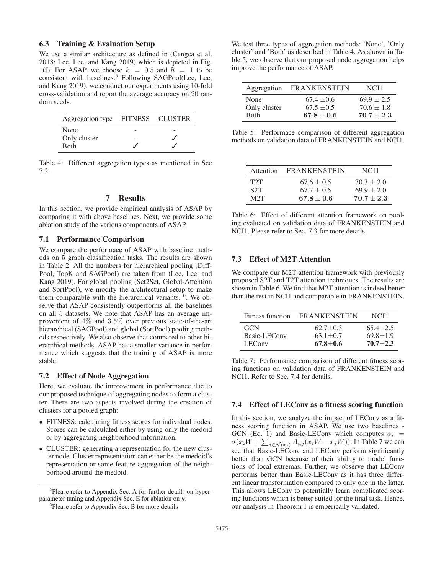## 6.3 Training & Evaluation Setup

We use a similar architecture as defined in (Cangea et al. 2018; Lee, Lee, and Kang 2019) which is depicted in Fig. 1(f). For ASAP, we choose  $k = 0.5$  and  $h = 1$  to be consistent with baselines.<sup>5</sup> Following SAGPool(Lee, Lee, and Kang 2019), we conduct our experiments using 10-fold cross-validation and report the average accuracy on 20 random seeds.

| Aggregation type FITNESS CLUSTER |  |
|----------------------------------|--|
| None                             |  |
| Only cluster                     |  |
| <b>B</b> oth                     |  |

Table 4: Different aggregation types as mentioned in Sec 7.2.

## 7 Results

In this section, we provide empirical analysis of ASAP by comparing it with above baselines. Next, we provide some ablation study of the various components of ASAP.

## 7.1 Performance Comparison

We compare the performace of ASAP with baseline methods on 5 graph classification tasks. The results are shown in Table 2. All the numbers for hierarchical pooling (Diff-Pool, TopK and SAGPool) are taken from (Lee, Lee, and Kang 2019). For global pooling (Set2Set, Global-Attention and SortPool), we modify the architectural setup to make them comparable with the hierarchical variants.  $6$ . We observe that ASAP consistently outperforms all the baselines on all 5 datasets. We note that ASAP has an average improvement of 4% and 3.5% over previous state-of-the-art hierarchical (SAGPool) and global (SortPool) pooling methods respectively. We also observe that compared to other hierarchical methods, ASAP has a smaller variance in performance which suggests that the training of ASAP is more stable.

#### 7.2 Effect of Node Aggregation

Here, we evaluate the improvement in performance due to our proposed technique of aggregating nodes to form a cluster. There are two aspects involved during the creation of clusters for a pooled graph:

- FITNESS: calculating fitness scores for individual nodes. Scores can be calculated either by using only the medoid or by aggregating neighborhood information.
- CLUSTER: generating a representation for the new cluster node. Cluster representation can either be the medoid's representation or some feature aggregation of the neighborhood around the medoid.

We test three types of aggregation methods: 'None', 'Only cluster' and 'Both' as described in Table 4. As shown in Table 5, we observe that our proposed node aggregation helps improve the performance of ASAP.

| Aggregation  | <b>FRANKENSTEIN</b> | NC <sub>I</sub> |
|--------------|---------------------|-----------------|
| None         | $67.4 \pm 0.6$      | $69.9 \pm 2.5$  |
| Only cluster | $67.5 \pm 0.5$      | $70.6 \pm 1.8$  |
| <b>Both</b>  | $67.8 + 0.6$        | $70.7 \pm 2.3$  |

Table 5: Performace comparison of different aggregation methods on validation data of FRANKENSTEIN and NCI1.

| Attention               | <b>FRANKENSTEIN</b>              | NCI1                             |
|-------------------------|----------------------------------|----------------------------------|
| T2T<br>S <sub>2</sub> T | $67.6 \pm 0.5$<br>$67.7 \pm 0.5$ | $70.3 \pm 2.0$<br>$69.9 \pm 2.0$ |
| M2T.                    | $67.8 + 0.6$                     | $70.7 + 2.3$                     |

Table 6: Effect of different attention framework on pooling evaluated on validation data of FRANKENSTEIN and NCI1. Please refer to Sec. 7.3 for more details.

# 7.3 Effect of M2T Attention

We compare our M2T attention framework with previously proposed S2T and T2T attention techniques. The results are shown in Table 6. We find that M2T attention is indeed better than the rest in NCI1 and comparable in FRANKENSTEIN.

| Fitness function   | <b>FRANKENSTEIN</b> | NCI1           |
|--------------------|---------------------|----------------|
| <b>GCN</b>         | $62.7 \pm 0.3$      | $65.4 + 2.5$   |
| Basic-LEConv       | $63.1 \pm 0.7$      | $69.8 \pm 1.9$ |
| LEC <sub>onv</sub> | $67.8 + 0.6$        | $70.7 + 2.3$   |

Table 7: Performance comparison of different fitness scoring functions on validation data of FRANKENSTEIN and NCI1. Refer to Sec. 7.4 for details.

#### 7.4 Effect of LEConv as a fitness scoring function

In this section, we analyze the impact of LEConv as a fitness scoring function in ASAP. We use two baselines - GCN (Eq. 1) and Basic-LEConv which computes  $\phi_i$  =  $\sigma(x_iW + \sum_{j \in \mathcal{N}(x_i)} A_{i,j}(x_iW - x_jW))$ . In Table 7 we can see that Basic-LEConv and LEConv perform significantly better than GCN because of their ability to model functions of local extremas. Further, we observe that LEConv performs better than Basic-LEConv as it has three different linear transformation compared to only one in the latter. This allows LEConv to potentially learn complicated scoring functions which is better suited for the final task. Hence, our analysis in Theorem 1 is emperically validated.

<sup>&</sup>lt;sup>5</sup>Please refer to Appendix Sec. A for further details on hyperparameter tuning and Appendix Sec. E for ablation on k.

<sup>&</sup>lt;sup>6</sup>Please refer to Appendix Sec. B for more details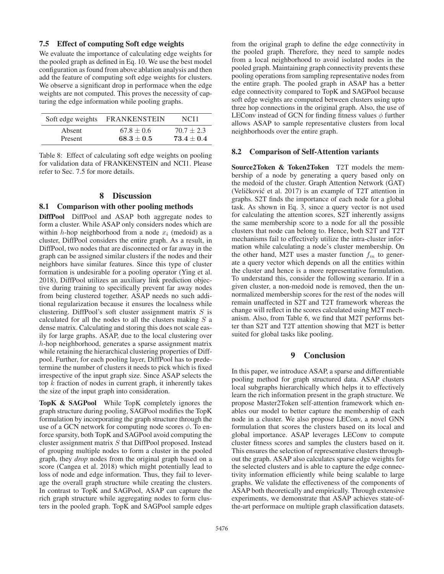### 7.5 Effect of computing Soft edge weights

We evaluate the importance of calculating edge weights for the pooled graph as defined in Eq. 10. We use the best model configuration as found from above ablation analysis and then add the feature of computing soft edge weights for clusters. We observe a significant drop in performace when the edge weights are not computed. This proves the necessity of capturing the edge information while pooling graphs.

|         | Soft edge weights FRANKENSTEIN | NCI1           |
|---------|--------------------------------|----------------|
| Absent  | $67.8 \pm 0.6$                 | $70.7 \pm 2.3$ |
| Present | $68.3 \pm 0.5$                 | $73.4 + 0.4$   |

Table 8: Effect of calculating soft edge weights on pooling for validation data of FRANKENSTEIN and NCI1. Please refer to Sec. 7.5 for more details.

# 8 Discussion

# 8.1 Comparison with other pooling methods

DiffPool DiffPool and ASAP both aggregate nodes to form a cluster. While ASAP only considers nodes which are within h-hop neighborhood from a node  $x_i$  (medoid) as a cluster, DiffPool considers the entire graph. As a result, in DiffPool, two nodes that are disconnected or far away in the graph can be assigned similar clusters if the nodes and their neighbors have similar features. Since this type of cluster formation is undesirable for a pooling operator (Ying et al. 2018), DiffPool utilizes an auxiliary link prediction objective during training to specifically prevent far away nodes from being clustered together. ASAP needs no such additional regularization because it ensures the localness while clustering. DiffPool's soft cluster assignment matrix S is calculated for all the nodes to all the clusters making  $S$  a dense matrix. Calculating and storing this does not scale easily for large graphs. ASAP, due to the local clustering over h-hop neighborhood, generates a sparse assignment matrix while retaining the hierarchical clustering properties of Diffpool. Further, for each pooling layer, DiffPool has to predetermine the number of clusters it needs to pick which is fixed irrespective of the input graph size. Since ASAP selects the top  $k$  fraction of nodes in current graph, it inherently takes the size of the input graph into consideration.

TopK & SAGPool While TopK completely ignores the graph structure during pooling, SAGPool modifies the TopK formulation by incorporating the graph structure through the use of a GCN network for computing node scores  $\phi$ . To enforce sparsity, both TopK and SAGPool avoid computing the cluster assignment matrix S that DiffPool proposed. Instead of grouping multiple nodes to form a cluster in the pooled graph, they *drop* nodes from the original graph based on a score (Cangea et al. 2018) which might potentially lead to loss of node and edge information. Thus, they fail to leverage the overall graph structure while creating the clusters. In contrast to TopK and SAGPool, ASAP can capture the rich graph structure while aggregating nodes to form clusters in the pooled graph. TopK and SAGPool sample edges

from the original graph to define the edge connectivity in the pooled graph. Therefore, they need to sample nodes from a local neighborhood to avoid isolated nodes in the pooled graph. Maintaining graph connectivity prevents these pooling operations from sampling representative nodes from the entire graph. The pooled graph in ASAP has a better edge connectivity compared to TopK and SAGPool because soft edge weights are computed between clusters using upto three hop connections in the original graph. Also, the use of LEConv instead of GCN for finding fitness values  $\phi$  further allows ASAP to sample representative clusters from local neighborhoods over the entire graph.

# 8.2 Comparison of Self-Attention variants

Source2Token & Token2Token T2T models the membership of a node by generating a query based only on the medoid of the cluster. Graph Attention Network (GAT) (Veličković et al. 2017) is an example of  $T2T$  attention in graphs. S2T finds the importance of each node for a global task. As shown in Eq. 3, since a query vector is not used for calculating the attention scores, S2T inherently assigns the same membership score to a node for all the possible clusters that node can belong to. Hence, both S2T and T2T mechanisms fail to effectively utilize the intra-cluster information while calculating a node's cluster membership. On the other hand, M2T uses a master function  $f_m$  to generate a query vector which depends on all the entities within the cluster and hence is a more representative formulation. To understand this, consider the following scenario. If in a given cluster, a non-medoid node is removed, then the unnormalized membership scores for the rest of the nodes will remain unaffected in S2T and T2T framework whereas the change will reflect in the scores calculated using M2T mechanism. Also, from Table 6, we find that M2T performs better than S2T and T2T attention showing that M2T is better suited for global tasks like pooling.

# 9 Conclusion

In this paper, we introduce ASAP, a sparse and differentiable pooling method for graph structured data. ASAP clusters local subgraphs hierarchically which helps it to effectively learn the rich information present in the graph structure. We propose Master2Token self-attention framework which enables our model to better capture the membership of each node in a cluster. We also propose LEConv, a novel GNN formulation that scores the clusters based on its local and global importance. ASAP leverages LEConv to compute cluster fitness scores and samples the clusters based on it. This ensures the selection of representative clusters throughout the graph. ASAP also calculates sparse edge weights for the selected clusters and is able to capture the edge connectivity information efficiently while being scalable to large graphs. We validate the effectiveness of the components of ASAP both theoretically and empirically. Through extensive experiments, we demonstrate that ASAP achieves state-ofthe-art performace on multiple graph classification datasets.